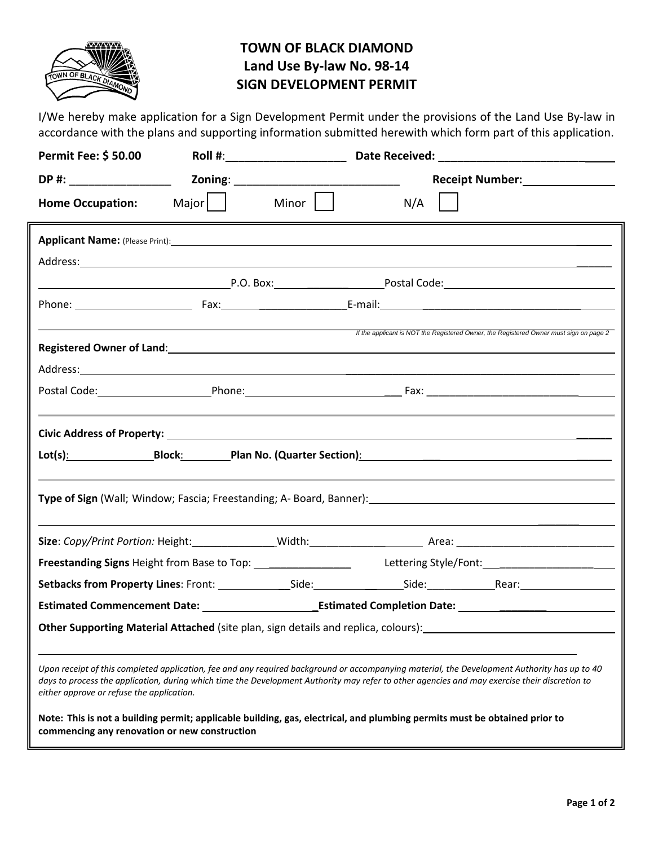

## **TOWN OF BLACK DIAMOND Land Use By-law No. 98-14 SIGN DEVELOPMENT PERMIT**

I/We hereby make application for a Sign Development Permit under the provisions of the Land Use By-law in accordance with the plans and supporting information submitted herewith which form part of this application.

| <b>Permit Fee: \$50.00</b>                                                         |                                                                  | Roll #:_______________________ |                                                                                                                                                                                                                                                                                               |                                                                                        |  |
|------------------------------------------------------------------------------------|------------------------------------------------------------------|--------------------------------|-----------------------------------------------------------------------------------------------------------------------------------------------------------------------------------------------------------------------------------------------------------------------------------------------|----------------------------------------------------------------------------------------|--|
| DP #: __________________                                                           |                                                                  |                                | Receipt Number: Neceipt Number:                                                                                                                                                                                                                                                               |                                                                                        |  |
| <b>Home Occupation:</b>                                                            | $Major$                                                          | Minor                          | N/A                                                                                                                                                                                                                                                                                           |                                                                                        |  |
|                                                                                    |                                                                  |                                |                                                                                                                                                                                                                                                                                               |                                                                                        |  |
|                                                                                    |                                                                  |                                |                                                                                                                                                                                                                                                                                               |                                                                                        |  |
|                                                                                    |                                                                  |                                |                                                                                                                                                                                                                                                                                               |                                                                                        |  |
|                                                                                    |                                                                  |                                |                                                                                                                                                                                                                                                                                               |                                                                                        |  |
|                                                                                    | <u> 1989 - Johann John Stone, Amerikaansk politiker (* 1908)</u> |                                |                                                                                                                                                                                                                                                                                               | If the applicant is NOT the Registered Owner, the Registered Owner must sign on page 2 |  |
|                                                                                    |                                                                  |                                | Registered Owner of Land: National Property of Land Contract of Land Contract of Land Contract of Land Contract of Land Contract of Land Contract of Land Contract of Land Contract of Land Contract of Land Contract of Land                                                                 |                                                                                        |  |
|                                                                                    |                                                                  |                                |                                                                                                                                                                                                                                                                                               |                                                                                        |  |
|                                                                                    |                                                                  |                                |                                                                                                                                                                                                                                                                                               |                                                                                        |  |
|                                                                                    |                                                                  |                                |                                                                                                                                                                                                                                                                                               |                                                                                        |  |
| Civic Address of Property: North American Communication of Property:               |                                                                  |                                |                                                                                                                                                                                                                                                                                               |                                                                                        |  |
|                                                                                    |                                                                  |                                |                                                                                                                                                                                                                                                                                               |                                                                                        |  |
|                                                                                    |                                                                  |                                |                                                                                                                                                                                                                                                                                               |                                                                                        |  |
|                                                                                    |                                                                  |                                |                                                                                                                                                                                                                                                                                               |                                                                                        |  |
|                                                                                    |                                                                  |                                |                                                                                                                                                                                                                                                                                               |                                                                                        |  |
|                                                                                    |                                                                  |                                |                                                                                                                                                                                                                                                                                               |                                                                                        |  |
|                                                                                    |                                                                  |                                |                                                                                                                                                                                                                                                                                               |                                                                                        |  |
| Other Supporting Material Attached (site plan, sign details and replica, colours): |                                                                  |                                |                                                                                                                                                                                                                                                                                               |                                                                                        |  |
| either approve or refuse the application.                                          |                                                                  |                                | Upon receipt of this completed application, fee and any required background or accompanying material, the Development Authority has up to 40<br>days to process the application, during which time the Development Authority may refer to other agencies and may exercise their discretion to |                                                                                        |  |
| commencing any renovation or new construction                                      |                                                                  |                                | Note: This is not a building permit; applicable building, gas, electrical, and plumbing permits must be obtained prior to                                                                                                                                                                     |                                                                                        |  |